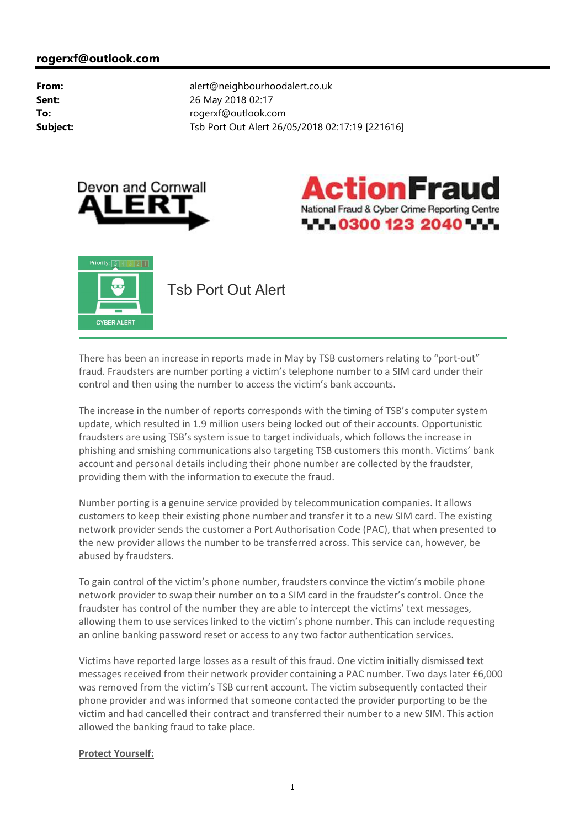





There has been an increase in reports made in May by TSB customers relating to "port-out" fraud. Fraudsters are number porting a victim's telephone number to a SIM card under their control and then using the number to access the victim's bank accounts.

The increase in the number of reports corresponds with the timing of TSB's computer system update, which resulted in 1.9 million users being locked out of their accounts. Opportunistic fraudsters are using TSB's system issue to target individuals, which follows the increase in phishing and smishing communications also targeting TSB customers this month. Victims' bank account and personal details including their phone number are collected by the fraudster, providing them with the information to execute the fraud.

Number porting is a genuine service provided by telecommunication companies. It allows customers to keep their existing phone number and transfer it to a new SIM card. The existing network provider sends the customer a Port Authorisation Code (PAC), that when presented to the new provider allows the number to be transferred across. This service can, however, be abused by fraudsters.

To gain control of the victim's phone number, fraudsters convince the victim's mobile phone network provider to swap their number on to a SIM card in the fraudster's control. Once the fraudster has control of the number they are able to intercept the victims' text messages, allowing them to use services linked to the victim's phone number. This can include requesting an online banking password reset or access to any two factor authentication services.

Victims have reported large losses as a result of this fraud. One victim initially dismissed text messages received from their network provider containing a PAC number. Two days later £6,000 was removed from the victim's TSB current account. The victim subsequently contacted their phone provider and was informed that someone contacted the provider purporting to be the victim and had cancelled their contract and transferred their number to a new SIM. This action allowed the banking fraud to take place.

#### **Protect Yourself:**